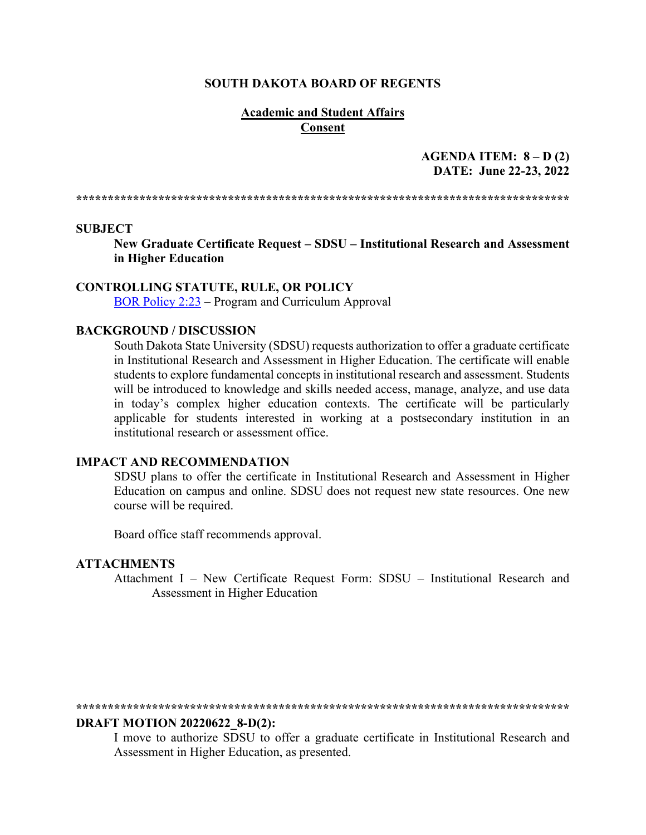#### **SOUTH DAKOTA BOARD OF REGENTS**

#### **Academic and Student Affairs Consent**

#### **AGENDA ITEM: 8 – D (2) DATE: June 22-23, 2022**

**\*\*\*\*\*\*\*\*\*\*\*\*\*\*\*\*\*\*\*\*\*\*\*\*\*\*\*\*\*\*\*\*\*\*\*\*\*\*\*\*\*\*\*\*\*\*\*\*\*\*\*\*\*\*\*\*\*\*\*\*\*\*\*\*\*\*\*\*\*\*\*\*\*\*\*\*\*\***

#### **SUBJECT**

**New Graduate Certificate Request – SDSU – Institutional Research and Assessment in Higher Education**

#### **CONTROLLING STATUTE, RULE, OR POLICY**

[BOR Policy 2:23](https://www.sdbor.edu/policy/Documents/2-23.pdf) – Program and Curriculum Approval

#### **BACKGROUND / DISCUSSION**

South Dakota State University (SDSU) requests authorization to offer a graduate certificate in Institutional Research and Assessment in Higher Education. The certificate will enable students to explore fundamental concepts in institutional research and assessment. Students will be introduced to knowledge and skills needed access, manage, analyze, and use data in today's complex higher education contexts. The certificate will be particularly applicable for students interested in working at a postsecondary institution in an institutional research or assessment office.

#### **IMPACT AND RECOMMENDATION**

SDSU plans to offer the certificate in Institutional Research and Assessment in Higher Education on campus and online. SDSU does not request new state resources. One new course will be required.

Board office staff recommends approval.

#### **ATTACHMENTS**

Attachment I – New Certificate Request Form: SDSU – Institutional Research and Assessment in Higher Education

#### **\*\*\*\*\*\*\*\*\*\*\*\*\*\*\*\*\*\*\*\*\*\*\*\*\*\*\*\*\*\*\*\*\*\*\*\*\*\*\*\*\*\*\*\*\*\*\*\*\*\*\*\*\*\*\*\*\*\*\*\*\*\*\*\*\*\*\*\*\*\*\*\*\*\*\*\*\*\***

#### **DRAFT MOTION 20220622\_8-D(2):**

I move to authorize SDSU to offer a graduate certificate in Institutional Research and Assessment in Higher Education, as presented.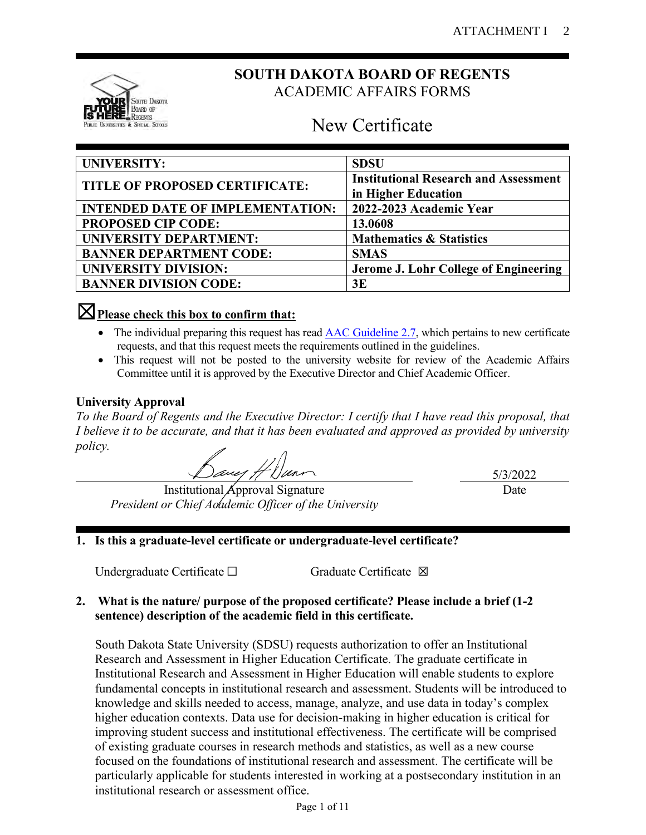

# **SOUTH DAKOTA BOARD OF REGENTS** ACADEMIC AFFAIRS FORMS

# New Certificate

| <b>UNIVERSITY:</b>                      | <b>SDSU</b>                                  |  |
|-----------------------------------------|----------------------------------------------|--|
|                                         | <b>Institutional Research and Assessment</b> |  |
| TITLE OF PROPOSED CERTIFICATE:          | in Higher Education                          |  |
| <b>INTENDED DATE OF IMPLEMENTATION:</b> | 2022-2023 Academic Year                      |  |
| <b>PROPOSED CIP CODE:</b>               | 13.0608                                      |  |
| <b>UNIVERSITY DEPARTMENT:</b>           | <b>Mathematics &amp; Statistics</b>          |  |
| <b>BANNER DEPARTMENT CODE:</b>          | <b>SMAS</b>                                  |  |
| <b>UNIVERSITY DIVISION:</b>             | Jerome J. Lohr College of Engineering        |  |
| <b>BANNER DIVISION CODE:</b>            | 3E                                           |  |

# ☒**Please check this box to confirm that:**

- The individual preparing this request has read  $\triangle$ AC Guideline 2.7, which pertains to new certificate requests, and that this request meets the requirements outlined in the guidelines.
- This request will not be posted to the university website for review of the Academic Affairs Committee until it is approved by the Executive Director and Chief Academic Officer.

### **University Approval**

*To the Board of Regents and the Executive Director: I certify that I have read this proposal, that I believe it to be accurate, and that it has been evaluated and approved as provided by university policy.*

Baug H Dunn

Institutional Approval Signature *President or Chief Academic Officer of the University*

5/3/2022 Date

# **1. Is this a graduate-level certificate or undergraduate-level certificate?**

Undergraduate Certificate □ Graduate Certificate ⊠

## **2. What is the nature/ purpose of the proposed certificate? Please include a brief (1-2 sentence) description of the academic field in this certificate.**

South Dakota State University (SDSU) requests authorization to offer an Institutional Research and Assessment in Higher Education Certificate. The graduate certificate in Institutional Research and Assessment in Higher Education will enable students to explore fundamental concepts in institutional research and assessment. Students will be introduced to knowledge and skills needed to access, manage, analyze, and use data in today's complex higher education contexts. Data use for decision-making in higher education is critical for improving student success and institutional effectiveness. The certificate will be comprised of existing graduate courses in research methods and statistics, as well as a new course focused on the foundations of institutional research and assessment. The certificate will be particularly applicable for students interested in working at a postsecondary institution in an institutional research or assessment office.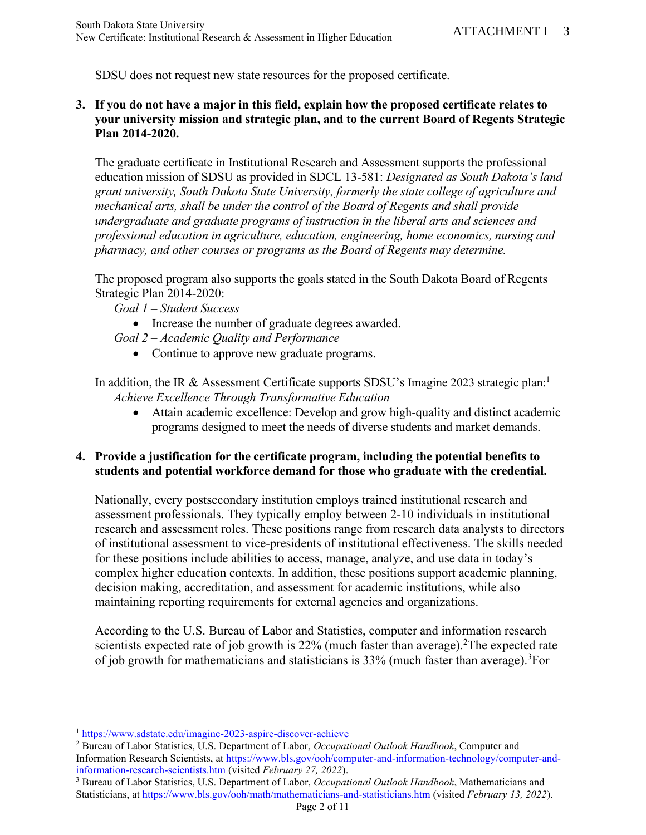SDSU does not request new state resources for the proposed certificate.

## **3. If you do not have a major in this field, explain how the proposed certificate relates to your university mission and strategic plan, and to the current Board of Regents Strategic Plan 2014-2020.**

The graduate certificate in Institutional Research and Assessment supports the professional education mission of SDSU as provided in SDCL 13-581: *Designated as South Dakota's land grant university, South Dakota State University, formerly the state college of agriculture and mechanical arts, shall be under the control of the Board of Regents and shall provide undergraduate and graduate programs of instruction in the liberal arts and sciences and professional education in agriculture, education, engineering, home economics, nursing and pharmacy, and other courses or programs as the Board of Regents may determine.*

The proposed program also supports the goals stated in the South Dakota Board of Regents Strategic Plan 2014-2020:

- *Goal 1 – Student Success*
	- Increase the number of graduate degrees awarded.
- *Goal 2 – Academic Quality and Performance*
	- Continue to approve new graduate programs.

In addition, the IR & Assessment Certificate supports SDSU's Imagine 2023 strategic plan:<sup>1</sup> *Achieve Excellence Through Transformative Education*

• Attain academic excellence: Develop and grow high-quality and distinct academic programs designed to meet the needs of diverse students and market demands.

## **4. Provide a justification for the certificate program, including the potential benefits to students and potential workforce demand for those who graduate with the credential.**

Nationally, every postsecondary institution employs trained institutional research and assessment professionals. They typically employ between 2-10 individuals in institutional research and assessment roles. These positions range from research data analysts to directors of institutional assessment to vice-presidents of institutional effectiveness. The skills needed for these positions include abilities to access, manage, analyze, and use data in today's complex higher education contexts. In addition, these positions support academic planning, decision making, accreditation, and assessment for academic institutions, while also maintaining reporting requirements for external agencies and organizations.

According to the U.S. Bureau of Labor and Statistics, computer and information research scientists expected rate of job growth is  $22\%$  (much faster than average).<sup>2</sup>The expected rate of job growth for mathematicians and statisticians is 33% (much faster than average). <sup>3</sup>For

<sup>1</sup> <https://www.sdstate.edu/imagine-2023-aspire-discover-achieve>

<sup>2</sup> Bureau of Labor Statistics, U.S. Department of Labor, *Occupational Outlook Handbook*, Computer and Information Research Scientists, at [https://www.bls.gov/ooh/computer-and-information-technology/computer-and](https://www.bls.gov/ooh/computer-and-information-technology/computer-and-information-research-scientists.htm)[information-research-scientists.htm](https://www.bls.gov/ooh/computer-and-information-technology/computer-and-information-research-scientists.htm) (visited *February 27, 2022*).

<sup>3</sup> Bureau of Labor Statistics, U.S. Department of Labor, *Occupational Outlook Handbook*, Mathematicians and Statisticians, at<https://www.bls.gov/ooh/math/mathematicians-and-statisticians.htm> (visited *February 13, 2022*).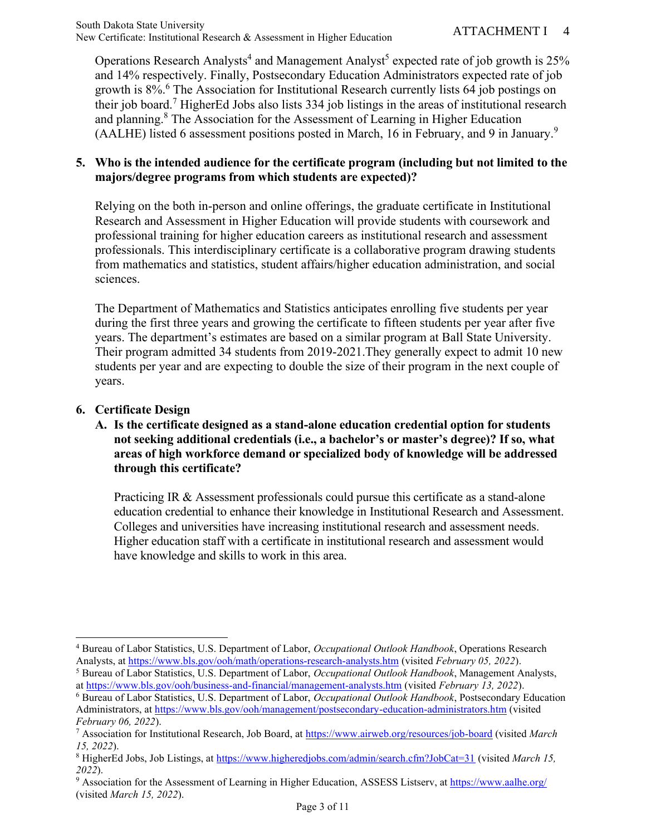Operations Research Analysts<sup>4</sup> and Management Analyst<sup>5</sup> expected rate of job growth is 25% and 14% respectively. Finally, Postsecondary Education Administrators expected rate of job growth is 8%.<sup>6</sup> The Association for Institutional Research currently lists 64 job postings on their job board.<sup>7</sup> HigherEd Jobs also lists  $334$  job listings in the areas of institutional research and planning.<sup>8</sup> The Association for the Assessment of Learning in Higher Education (AALHE) listed 6 assessment positions posted in March, 16 in February, and 9 in January.<sup>9</sup>

#### **5. Who is the intended audience for the certificate program (including but not limited to the majors/degree programs from which students are expected)?**

Relying on the both in-person and online offerings, the graduate certificate in Institutional Research and Assessment in Higher Education will provide students with coursework and professional training for higher education careers as institutional research and assessment professionals. This interdisciplinary certificate is a collaborative program drawing students from mathematics and statistics, student affairs/higher education administration, and social sciences.

The Department of Mathematics and Statistics anticipates enrolling five students per year during the first three years and growing the certificate to fifteen students per year after five years. The department's estimates are based on a similar program at Ball State University. Their program admitted 34 students from 2019-2021.They generally expect to admit 10 new students per year and are expecting to double the size of their program in the next couple of years.

## **6. Certificate Design**

**A. Is the certificate designed as a stand-alone education credential option for students not seeking additional credentials (i.e., a bachelor's or master's degree)? If so, what areas of high workforce demand or specialized body of knowledge will be addressed through this certificate?**

Practicing IR & Assessment professionals could pursue this certificate as a stand-alone education credential to enhance their knowledge in Institutional Research and Assessment. Colleges and universities have increasing institutional research and assessment needs. Higher education staff with a certificate in institutional research and assessment would have knowledge and skills to work in this area.

<sup>4</sup> Bureau of Labor Statistics, U.S. Department of Labor, *Occupational Outlook Handbook*, Operations Research Analysts, a[t https://www.bls.gov/ooh/math/operations-research-analysts.htm](https://www.bls.gov/ooh/math/operations-research-analysts.htm) (visited *February 05, 2022*).

<sup>5</sup> Bureau of Labor Statistics, U.S. Department of Labor, *Occupational Outlook Handbook*, Management Analysts, a[t https://www.bls.gov/ooh/business-and-financial/management-analysts.htm](https://www.bls.gov/ooh/business-and-financial/management-analysts.htm) (visited *February 13, 2022*).

<sup>6</sup> Bureau of Labor Statistics, U.S. Department of Labor, *Occupational Outlook Handbook*, Postsecondary Education Administrators, a[t https://www.bls.gov/ooh/management/postsecondary-education-administrators.htm](https://www.bls.gov/ooh/management/postsecondary-education-administrators.htm) (visited *February 06, 2022*).

<sup>7</sup> Association for Institutional Research, Job Board, at <https://www.airweb.org/resources/job-board> (visited *March 15, 2022*).

<sup>8</sup> HigherEd Jobs, Job Listings, at<https://www.higheredjobs.com/admin/search.cfm?JobCat=31> (visited *March 15, 2022*).

<sup>&</sup>lt;sup>9</sup> Association for the Assessment of Learning in Higher Education, ASSESS Listserv, a[t https://www.aalhe.org/](https://www.aalhe.org/) (visited *March 15, 2022*).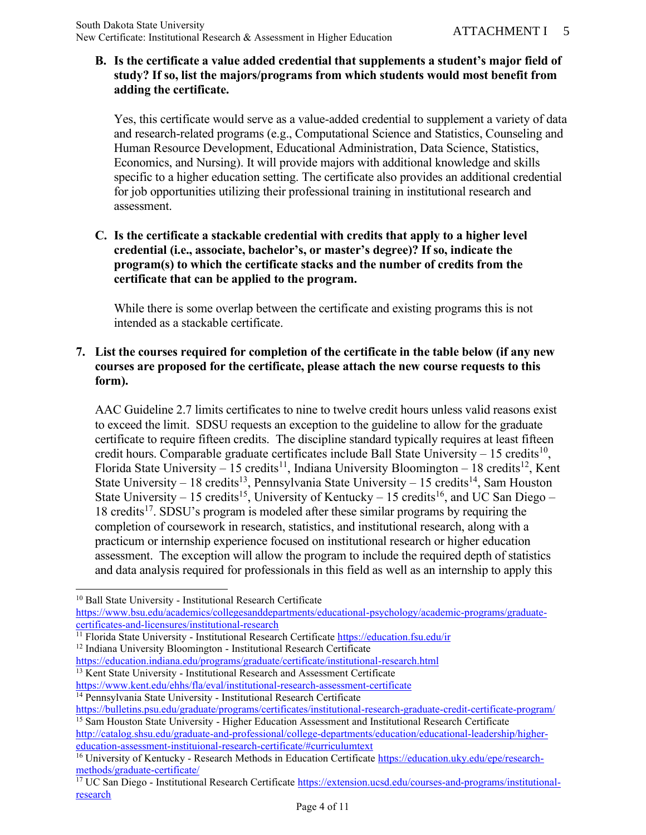### **B. Is the certificate a value added credential that supplements a student's major field of study? If so, list the majors/programs from which students would most benefit from adding the certificate.**

Yes, this certificate would serve as a value-added credential to supplement a variety of data and research-related programs (e.g., Computational Science and Statistics, Counseling and Human Resource Development, Educational Administration, Data Science, Statistics, Economics, and Nursing). It will provide majors with additional knowledge and skills specific to a higher education setting. The certificate also provides an additional credential for job opportunities utilizing their professional training in institutional research and assessment.

**C. Is the certificate a stackable credential with credits that apply to a higher level credential (i.e., associate, bachelor's, or master's degree)? If so, indicate the program(s) to which the certificate stacks and the number of credits from the certificate that can be applied to the program.** 

While there is some overlap between the certificate and existing programs this is not intended as a stackable certificate.

## **7. List the courses required for completion of the certificate in the table below (if any new courses are proposed for the certificate, please attach the new course requests to this form).**

AAC Guideline 2.7 limits certificates to nine to twelve credit hours unless valid reasons exist to exceed the limit. SDSU requests an exception to the guideline to allow for the graduate certificate to require fifteen credits. The discipline standard typically requires at least fifteen credit hours. Comparable graduate certificates include Ball State University  $-15$  credits<sup>10</sup>, Florida State University – 15 credits<sup>11</sup>, Indiana University Bloomington – 18 credits<sup>12</sup>, Kent State University – 18 credits<sup>13</sup>, Pennsylvania State University – 15 credits<sup>14</sup>, Sam Houston State University – 15 credits<sup>15</sup>, University of Kentucky – 15 credits<sup>16</sup>, and UC San Diego – 18 credits<sup>17</sup>. SDSU's program is modeled after these similar programs by requiring the completion of coursework in research, statistics, and institutional research, along with a practicum or internship experience focused on institutional research or higher education assessment. The exception will allow the program to include the required depth of statistics and data analysis required for professionals in this field as well as an internship to apply this

<sup>13</sup> Kent State University - Institutional Research and Assessment Certificate

<https://www.kent.edu/ehhs/fla/eval/institutional-research-assessment-certificate>

<sup>&</sup>lt;sup>10</sup> Ball State University - Institutional Research Certificate

[https://www.bsu.edu/academics/collegesanddepartments/educational-psychology/academic-programs/graduate](https://www.bsu.edu/academics/collegesanddepartments/educational-psychology/academic-programs/graduate-certificates-and-licensures/institutional-research)[certificates-and-licensures/institutional-research](https://www.bsu.edu/academics/collegesanddepartments/educational-psychology/academic-programs/graduate-certificates-and-licensures/institutional-research)

<sup>&</sup>lt;sup>11</sup> Florida State University - Institutional Research Certificate<https://education.fsu.edu/ir> <sup>12</sup> Indiana University Bloomington - Institutional Research Certificate

<https://education.indiana.edu/programs/graduate/certificate/institutional-research.html>

<sup>&</sup>lt;sup>14</sup> Pennsylvania State University - Institutional Research Certificate

<https://bulletins.psu.edu/graduate/programs/certificates/institutional-research-graduate-credit-certificate-program/> <sup>15</sup> Sam Houston State University - Higher Education Assessment and Institutional Research Certificate

[http://catalog.shsu.edu/graduate-and-professional/college-departments/education/educational-leadership/higher](http://catalog.shsu.edu/graduate-and-professional/college-departments/education/educational-leadership/higher-education-assessment-instituional-research-certificate/#curriculumtext)[education-assessment-instituional-research-certificate/#curriculumtext](http://catalog.shsu.edu/graduate-and-professional/college-departments/education/educational-leadership/higher-education-assessment-instituional-research-certificate/#curriculumtext)

<sup>16</sup> University of Kentucky - Research Methods in Education Certificate [https://education.uky.edu/epe/research](https://education.uky.edu/epe/research-methods/graduate-certificate/)[methods/graduate-certificate/](https://education.uky.edu/epe/research-methods/graduate-certificate/)

<sup>&</sup>lt;sup>17</sup> UC San Diego - Institutional Research Certificate [https://extension.ucsd.edu/courses-and-programs/institutional](https://extension.ucsd.edu/courses-and-programs/institutional-research)[research](https://extension.ucsd.edu/courses-and-programs/institutional-research)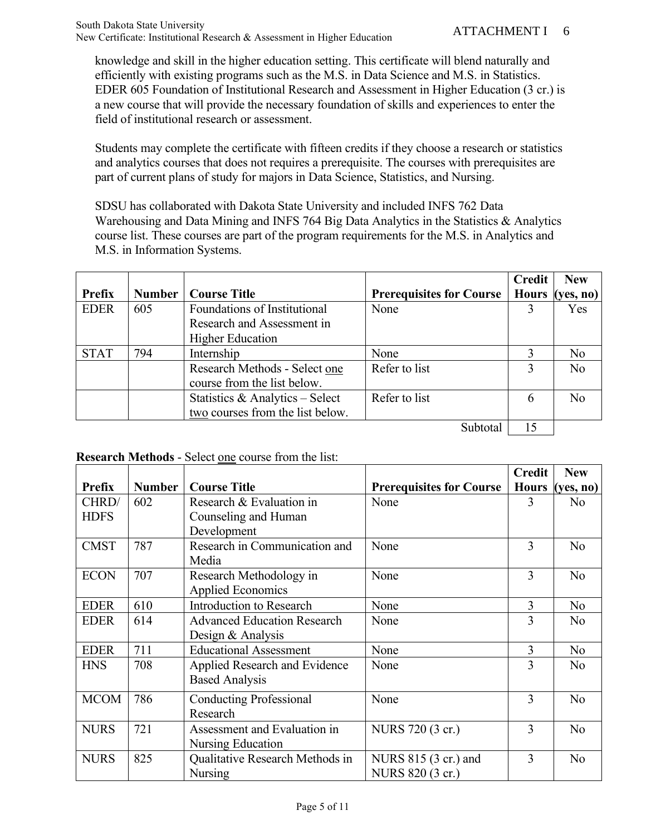knowledge and skill in the higher education setting. This certificate will blend naturally and efficiently with existing programs such as the M.S. in Data Science and M.S. in Statistics. EDER 605 Foundation of Institutional Research and Assessment in Higher Education (3 cr.) is a new course that will provide the necessary foundation of skills and experiences to enter the field of institutional research or assessment.

Students may complete the certificate with fifteen credits if they choose a research or statistics and analytics courses that does not requires a prerequisite. The courses with prerequisites are part of current plans of study for majors in Data Science, Statistics, and Nursing.

SDSU has collaborated with Dakota State University and included INFS 762 Data Warehousing and Data Mining and INFS 764 Big Data Analytics in the Statistics & Analytics course list. These courses are part of the program requirements for the M.S. in Analytics and M.S. in Information Systems.

|               |               |                                  |                                 | <b>Credit</b> | <b>New</b>                 |
|---------------|---------------|----------------------------------|---------------------------------|---------------|----------------------------|
| <b>Prefix</b> | <b>Number</b> | <b>Course Title</b>              | <b>Prerequisites for Course</b> | <b>Hours</b>  | ( <b>ves</b> , <b>no</b> ) |
| <b>EDER</b>   | 605           | Foundations of Institutional     | None                            |               | Yes                        |
|               |               | Research and Assessment in       |                                 |               |                            |
|               |               | <b>Higher Education</b>          |                                 |               |                            |
| <b>STAT</b>   | 794           | Internship                       | None                            |               | N <sub>o</sub>             |
|               |               | Research Methods - Select one    | Refer to list                   |               | N <sub>o</sub>             |
|               |               | course from the list below.      |                                 |               |                            |
|               |               | Statistics & Analytics - Select  | Refer to list                   | 6             | No.                        |
|               |               | two courses from the list below. |                                 |               |                            |
|               |               |                                  | Subtotal                        | 15            |                            |

### **Research Methods** - Select one course from the list:

|               |               |                                                         |                                          | <b>Credit</b> | <b>New</b>     |
|---------------|---------------|---------------------------------------------------------|------------------------------------------|---------------|----------------|
| <b>Prefix</b> | <b>Number</b> | <b>Course Title</b>                                     | <b>Prerequisites for Course</b>          | <b>Hours</b>  | (yes, no)      |
| CHRD/         | 602           | Research & Evaluation in                                | None                                     | 3             | N <sub>o</sub> |
| <b>HDFS</b>   |               | Counseling and Human<br>Development                     |                                          |               |                |
| <b>CMST</b>   | 787           | Research in Communication and<br>Media                  | None                                     | 3             | N <sub>o</sub> |
| <b>ECON</b>   | 707           | Research Methodology in<br><b>Applied Economics</b>     | None                                     | 3             | No             |
| <b>EDER</b>   | 610           | <b>Introduction to Research</b>                         | None                                     | 3             | N <sub>o</sub> |
| <b>EDER</b>   | 614           | <b>Advanced Education Research</b><br>Design & Analysis | None                                     | 3             | No             |
| <b>EDER</b>   | 711           | <b>Educational Assessment</b>                           | None                                     | 3             | N <sub>o</sub> |
| <b>HNS</b>    | 708           | Applied Research and Evidence<br><b>Based Analysis</b>  | None                                     | 3             | N <sub>o</sub> |
| <b>MCOM</b>   | 786           | <b>Conducting Professional</b><br>Research              | None                                     | 3             | N <sub>o</sub> |
| <b>NURS</b>   | 721           | Assessment and Evaluation in<br>Nursing Education       | NURS 720 (3 cr.)                         | 3             | N <sub>o</sub> |
| <b>NURS</b>   | 825           | Qualitative Research Methods in<br>Nursing              | NURS 815 (3 cr.) and<br>NURS 820 (3 cr.) | 3             | N <sub>o</sub> |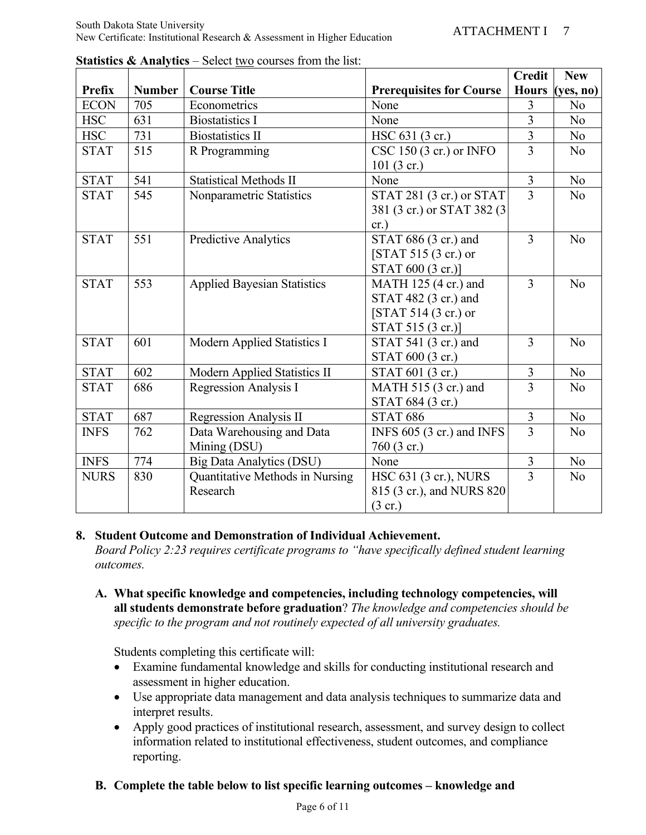|             |               |                                    |                                 | <b>Credit</b>  | <b>New</b>     |
|-------------|---------------|------------------------------------|---------------------------------|----------------|----------------|
| Prefix      | <b>Number</b> | <b>Course Title</b>                | <b>Prerequisites for Course</b> | <b>Hours</b>   | (yes, no)      |
| <b>ECON</b> | 705           | Econometrics                       | None                            | 3              | No             |
| <b>HSC</b>  | 631           | <b>Biostatistics I</b>             | None                            | $\overline{3}$ | N <sub>o</sub> |
| <b>HSC</b>  | 731           | <b>Biostatistics II</b>            | HSC 631 (3 cr.)                 | $\overline{3}$ | N <sub>o</sub> |
| <b>STAT</b> | 515           | R Programming                      | CSC 150 (3 cr.) or INFO         | $\overline{3}$ | N <sub>o</sub> |
|             |               |                                    | $101(3 \text{ cr.})$            |                |                |
| <b>STAT</b> | 541           | <b>Statistical Methods II</b>      | None                            | $\overline{3}$ | N <sub>o</sub> |
| <b>STAT</b> | 545           | Nonparametric Statistics           | STAT 281 (3 cr.) or STAT        | $\overline{3}$ | N <sub>o</sub> |
|             |               |                                    | 381 (3 cr.) or STAT 382 (3)     |                |                |
|             |               |                                    | cr.)                            |                |                |
| <b>STAT</b> | 551           | Predictive Analytics               | STAT 686 (3 cr.) and            | 3              | N <sub>o</sub> |
|             |               |                                    | $[STAT 515 (3 cr.)$ or          |                |                |
|             |               |                                    | STAT 600 (3 cr.)]               |                |                |
| <b>STAT</b> | 553           | <b>Applied Bayesian Statistics</b> | MATH 125 (4 cr.) and            | 3              | N <sub>o</sub> |
|             |               |                                    | STAT 482 (3 cr.) and            |                |                |
|             |               |                                    | $[STAT 514 (3 cr.)$ or          |                |                |
|             |               |                                    | STAT 515 (3 cr.)]               |                |                |
| <b>STAT</b> | 601           | Modern Applied Statistics I        | STAT 541 (3 cr.) and            | 3              | N <sub>o</sub> |
|             |               |                                    | STAT 600 (3 cr.)                |                |                |
| <b>STAT</b> | 602           | Modern Applied Statistics II       | STAT 601 (3 cr.)                | $\mathfrak{Z}$ | N <sub>o</sub> |
| <b>STAT</b> | 686           | Regression Analysis I              | MATH 515 (3 cr.) and            | $\overline{3}$ | N <sub>o</sub> |
|             |               |                                    | STAT 684 (3 cr.)                |                |                |
| <b>STAT</b> | 687           | Regression Analysis II             | <b>STAT 686</b>                 | $\overline{3}$ | N <sub>o</sub> |
| <b>INFS</b> | 762           | Data Warehousing and Data          | INFS 605 (3 cr.) and INFS       | 3              | N <sub>o</sub> |
|             |               | Mining (DSU)                       | 760 (3 cr.)                     |                |                |
| <b>INFS</b> | 774           | <b>Big Data Analytics (DSU)</b>    | None                            | $\mathfrak{Z}$ | N <sub>o</sub> |
| <b>NURS</b> | 830           | Quantitative Methods in Nursing    | HSC 631 (3 cr.), NURS           | 3              | N <sub>o</sub> |
|             |               | Research                           | 815 (3 cr.), and NURS 820       |                |                |
|             |               |                                    | $(3 \text{ cr.})$               |                |                |

**Statistics & Analytics** – Select two courses from the list:

### **8. Student Outcome and Demonstration of Individual Achievement.**

*Board Policy 2:23 requires certificate programs to "have specifically defined student learning outcomes.* 

**A. What specific knowledge and competencies, including technology competencies, will all students demonstrate before graduation**? *The knowledge and competencies should be specific to the program and not routinely expected of all university graduates.*

Students completing this certificate will:

- Examine fundamental knowledge and skills for conducting institutional research and assessment in higher education.
- Use appropriate data management and data analysis techniques to summarize data and interpret results.
- Apply good practices of institutional research, assessment, and survey design to collect information related to institutional effectiveness, student outcomes, and compliance reporting.

### **B. Complete the table below to list specific learning outcomes – knowledge and**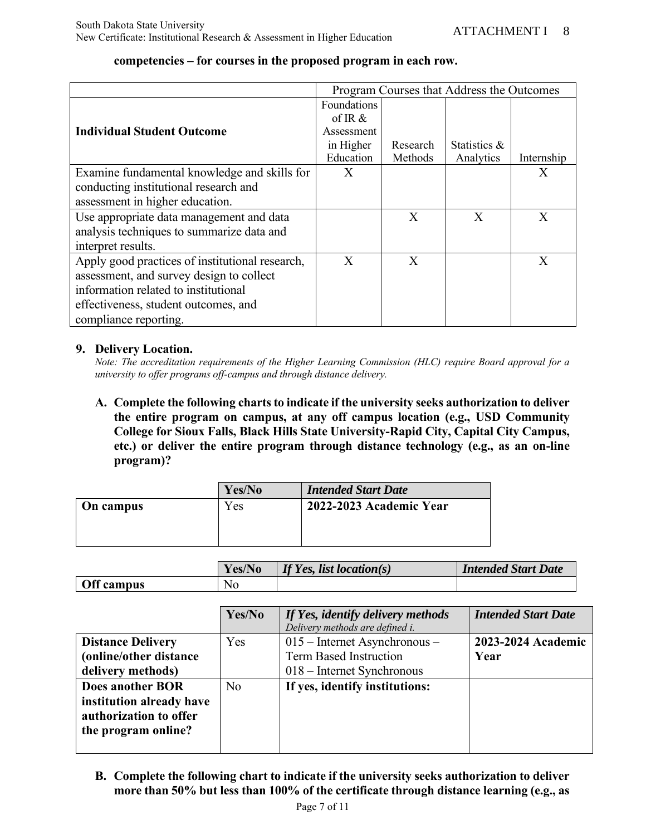|                                                 |             |          | Program Courses that Address the Outcomes |            |
|-------------------------------------------------|-------------|----------|-------------------------------------------|------------|
|                                                 | Foundations |          |                                           |            |
|                                                 | of IR $\&$  |          |                                           |            |
| <b>Individual Student Outcome</b>               | Assessment  |          |                                           |            |
|                                                 | in Higher   | Research | Statistics &                              |            |
|                                                 | Education   | Methods  | Analytics                                 | Internship |
| Examine fundamental knowledge and skills for    | X           |          |                                           | X          |
| conducting institutional research and           |             |          |                                           |            |
| assessment in higher education.                 |             |          |                                           |            |
| Use appropriate data management and data        |             | X        | X                                         | X          |
| analysis techniques to summarize data and       |             |          |                                           |            |
| interpret results.                              |             |          |                                           |            |
| Apply good practices of institutional research, | X           | X        |                                           | Χ          |
| assessment, and survey design to collect        |             |          |                                           |            |
| information related to institutional            |             |          |                                           |            |
| effectiveness, student outcomes, and            |             |          |                                           |            |
| compliance reporting.                           |             |          |                                           |            |

#### **competencies – for courses in the proposed program in each row.**

#### **9. Delivery Location.**

*Note: The accreditation requirements of the Higher Learning Commission (HLC) require Board approval for a university to offer programs off-campus and through distance delivery.*

**A. Complete the following charts to indicate if the university seeks authorization to deliver the entire program on campus, at any off campus location (e.g., USD Community College for Sioux Falls, Black Hills State University-Rapid City, Capital City Campus, etc.) or deliver the entire program through distance technology (e.g., as an on-line program)?**

|           | Yes/No | <b>Intended Start Date</b> |
|-----------|--------|----------------------------|
| On campus | Yes    | 2022-2023 Academic Year    |
|           |        |                            |
|           |        |                            |

|            | Yes/No         | If Yes, list location(s) | <b>Intended Start Date</b> |
|------------|----------------|--------------------------|----------------------------|
| Off campus | N <sub>o</sub> |                          |                            |

|                          | Yes/No         | If Yes, identify delivery methods<br>Delivery methods are defined i. | <b>Intended Start Date</b> |
|--------------------------|----------------|----------------------------------------------------------------------|----------------------------|
| <b>Distance Delivery</b> | Yes            | $015$ – Internet Asynchronous –                                      | 2023-2024 Academic         |
| (online/other distance   |                | <b>Term Based Instruction</b>                                        | Year                       |
| delivery methods)        |                | $018$ – Internet Synchronous                                         |                            |
| <b>Does another BOR</b>  | N <sub>0</sub> | If yes, identify institutions:                                       |                            |
| institution already have |                |                                                                      |                            |
| authorization to offer   |                |                                                                      |                            |
| the program online?      |                |                                                                      |                            |
|                          |                |                                                                      |                            |

**B. Complete the following chart to indicate if the university seeks authorization to deliver more than 50% but less than 100% of the certificate through distance learning (e.g., as**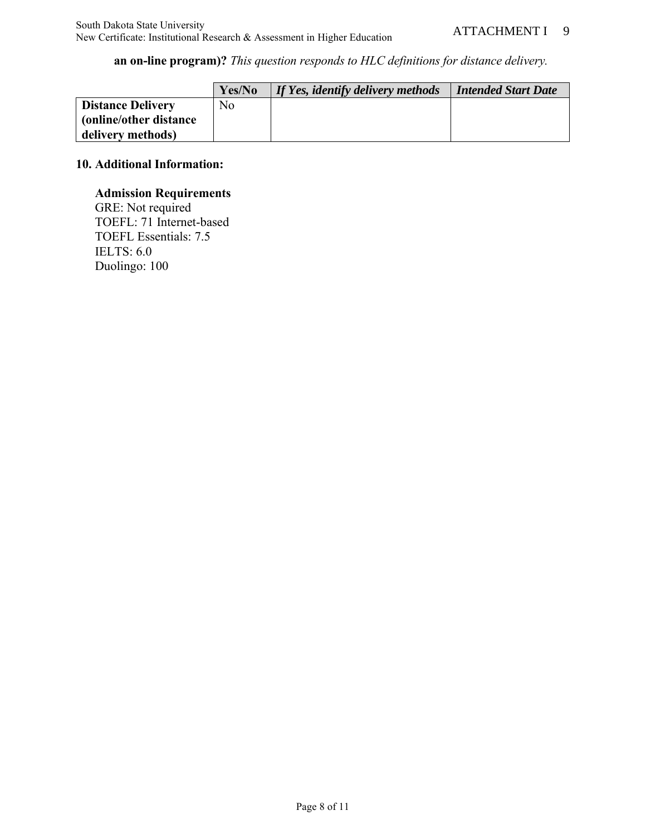**an on-line program)?** *This question responds to HLC definitions for distance delivery.*

|                          | Yes/No | If Yes, identify delivery methods | <b>Intended Start Date</b> |
|--------------------------|--------|-----------------------------------|----------------------------|
| <b>Distance Delivery</b> | No.    |                                   |                            |
| (online/other distance)  |        |                                   |                            |
| delivery methods)        |        |                                   |                            |

## **10. Additional Information:**

## **Admission Requirements**

GRE: Not required TOEFL: 71 Internet-based TOEFL Essentials: 7.5 IELTS: 6.0 Duolingo: 100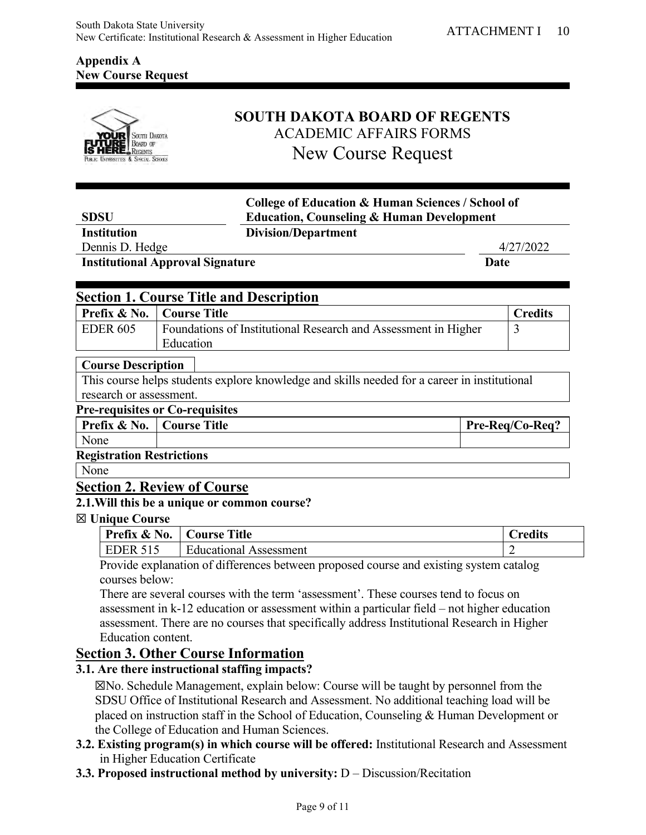## **Appendix A New Course Request**



# **SOUTH DAKOTA BOARD OF REGENTS** ACADEMIC AFFAIRS FORMS New Course Request

| <b>SDSU</b>                            |                                                | <b>College of Education &amp; Human Sciences / School of</b><br><b>Education, Counseling &amp; Human Development</b> |  |  |
|----------------------------------------|------------------------------------------------|----------------------------------------------------------------------------------------------------------------------|--|--|
| <b>Institution</b>                     | <b>Division/Department</b>                     |                                                                                                                      |  |  |
| Dennis D. Hedge                        |                                                | 4/27/2022                                                                                                            |  |  |
|                                        | <b>Institutional Approval Signature</b>        | Date                                                                                                                 |  |  |
|                                        |                                                |                                                                                                                      |  |  |
|                                        | <b>Section 1. Course Title and Description</b> |                                                                                                                      |  |  |
| <b>Prefix &amp; No.</b>   Course Title |                                                | Credits                                                                                                              |  |  |

| <b>Prefix &amp; No.</b>   Course Title |                                                                | <b>Credits</b> |
|----------------------------------------|----------------------------------------------------------------|----------------|
| EDER 605                               | Foundations of Institutional Research and Assessment in Higher |                |
|                                        | Education                                                      |                |

#### **Course Description**

This course helps students explore knowledge and skills needed for a career in institutional research or assessment.

## **Pre-requisites or Co-requisites**

| Prefix & No.                     | Course Title | Pre-Reg/Co-Reg? |
|----------------------------------|--------------|-----------------|
| None                             |              |                 |
| <b>Registration Restrictions</b> |              |                 |

None

### **Section 2. Review of Course**

## **2.1.Will this be a unique or common course?**

#### ☒ **Unique Course**

| Prefix & No.    | <b>Course Title</b>           | redits' |
|-----------------|-------------------------------|---------|
| <b>EDER 515</b> | <b>Educational Assessment</b> |         |
| $\mathbf{r}$    | 0.1100                        |         |

Provide explanation of differences between proposed course and existing system catalog courses below:

There are several courses with the term 'assessment'. These courses tend to focus on assessment in k-12 education or assessment within a particular field – not higher education assessment. There are no courses that specifically address Institutional Research in Higher Education content.

## **Section 3. Other Course Information**

#### **3.1. Are there instructional staffing impacts?**

☒No. Schedule Management, explain below: Course will be taught by personnel from the SDSU Office of Institutional Research and Assessment. No additional teaching load will be placed on instruction staff in the School of Education, Counseling & Human Development or the College of Education and Human Sciences.

- **3.2. Existing program(s) in which course will be offered:** Institutional Research and Assessment in Higher Education Certificate
- **3.3. Proposed instructional method by university:** D Discussion/Recitation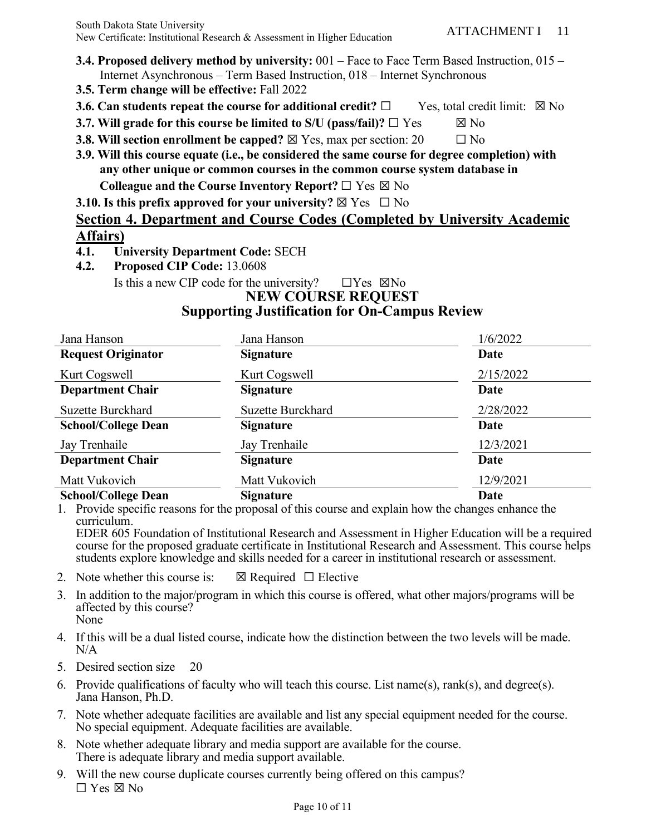- **3.4. Proposed delivery method by university:** 001 Face to Face Term Based Instruction, 015 Internet Asynchronous – Term Based Instruction, 018 – Internet Synchronous
- **3.5. Term change will be effective:** Fall 2022
- **3.6. Can students repeat the course for additional credit?** □ Yes, total credit limit: ⊠ No
- **3.7.** Will grade for this course be limited to S/U (pass/fail)?  $\Box$  Yes  $\boxtimes$  No
- **3.8. Will section enrollment be capped?**  $\boxtimes$  Yes, max per section: 20  $\Box$  No
- **3.9. Will this course equate (i.e., be considered the same course for degree completion) with any other unique or common courses in the common course system database in Colleague and the Course Inventory Report?** ☐ Yes ☒ No

**3.10. Is this prefix approved for your university?**  $\boxtimes$  Yes  $\Box$  No

# **Section 4. Department and Course Codes (Completed by University Academic Affairs)**

- **4.1. University Department Code:** SECH
- **4.2. Proposed CIP Code:** 13.0608

Is this a new CIP code for the university?  $\square$  Yes  $\square$ No

#### **NEW COURSE REQUEST Supporting Justification for On-Campus Review**

| Jana Hanson                | Jana Hanson              | 1/6/2022    |
|----------------------------|--------------------------|-------------|
| <b>Request Originator</b>  | <b>Signature</b>         | Date        |
| Kurt Cogswell              | Kurt Cogswell            | 2/15/2022   |
| <b>Department Chair</b>    | <b>Signature</b>         | Date        |
| <b>Suzette Burckhard</b>   | <b>Suzette Burckhard</b> | 2/28/2022   |
| <b>School/College Dean</b> | <b>Signature</b>         | Date        |
| Jay Trenhaile              | Jay Trenhaile            | 12/3/2021   |
| <b>Department Chair</b>    | <b>Signature</b>         | Date        |
| Matt Vukovich              | Matt Vukovich            | 12/9/2021   |
| <b>School/College Dean</b> | <b>Signature</b>         | <b>Date</b> |

1. Provide specific reasons for the proposal of this course and explain how the changes enhance the curriculum.

EDER 605 Foundation of Institutional Research and Assessment in Higher Education will be a required course for the proposed graduate certificate in Institutional Research and Assessment. This course helps students explore knowledge and skills needed for a career in institutional research or assessment.

- 2. Note whether this course is:  $\boxtimes$  Required  $\Box$  Elective
- 3. In addition to the major/program in which this course is offered, what other majors/programs will be affected by this course? None
- 4. If this will be a dual listed course, indicate how the distinction between the two levels will be made. N/A
- 5. Desired section size 20
- 6. Provide qualifications of faculty who will teach this course. List name(s), rank(s), and degree(s). Jana Hanson, Ph.D.
- 7. Note whether adequate facilities are available and list any special equipment needed for the course. No special equipment. Adequate facilities are available.
- 8. Note whether adequate library and media support are available for the course. There is adequate library and media support available.
- 9. Will the new course duplicate courses currently being offered on this campus? ☐ Yes ☒ No